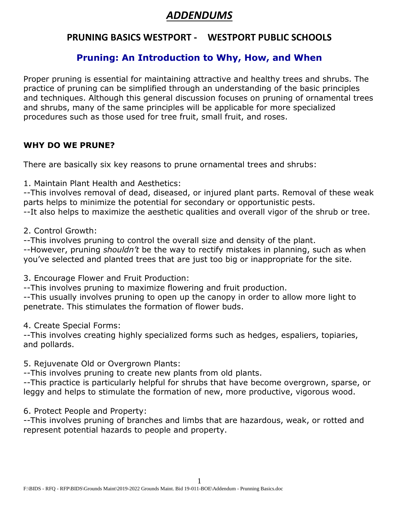# *ADDENDUMS*

# **PRUNING BASICS WESTPORT - WESTPORT PUBLIC SCHOOLS**

## **Pruning: An Introduction to Why, How, and When**

Proper pruning is essential for maintaining attractive and healthy trees and shrubs. The practice of pruning can be simplified through an understanding of the basic principles and techniques. Although this general discussion focuses on pruning of ornamental trees and shrubs, many of the same principles will be applicable for more specialized procedures such as those used for tree fruit, small fruit, and roses.

#### **WHY DO WE PRUNE?**

There are basically six key reasons to prune ornamental trees and shrubs:

1. Maintain Plant Health and Aesthetics:

--This involves removal of dead, diseased, or injured plant parts. Removal of these weak parts helps to minimize the potential for secondary or opportunistic pests. --It also helps to maximize the aesthetic qualities and overall vigor of the shrub or tree.

2. Control Growth:

--This involves pruning to control the overall size and density of the plant.

--However, pruning *shouldn't* be the way to rectify mistakes in planning, such as when you've selected and planted trees that are just too big or inappropriate for the site.

3. Encourage Flower and Fruit Production:

--This involves pruning to maximize flowering and fruit production.

--This usually involves pruning to open up the canopy in order to allow more light to penetrate. This stimulates the formation of flower buds.

4. Create Special Forms:

--This involves creating highly specialized forms such as hedges, espaliers, topiaries, and pollards.

5. Rejuvenate Old or Overgrown Plants:

--This involves pruning to create new plants from old plants.

--This practice is particularly helpful for shrubs that have become overgrown, sparse, or leggy and helps to stimulate the formation of new, more productive, vigorous wood.

6. Protect People and Property:

--This involves pruning of branches and limbs that are hazardous, weak, or rotted and represent potential hazards to people and property.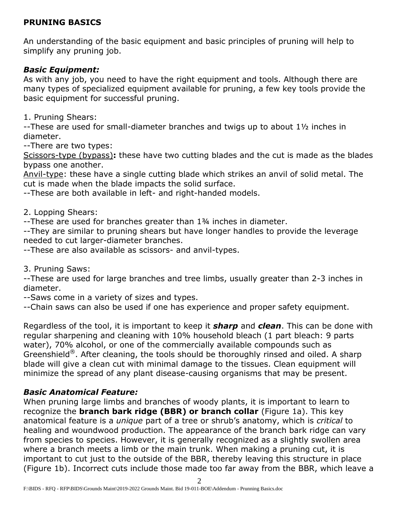## **PRUNING BASICS**

An understanding of the basic equipment and basic principles of pruning will help to simplify any pruning job.

#### *Basic Equipment:*

As with any job, you need to have the right equipment and tools. Although there are many types of specialized equipment available for pruning, a few key tools provide the basic equipment for successful pruning.

1. Pruning Shears:

--These are used for small-diameter branches and twigs up to about 1½ inches in diameter.

--There are two types:

Scissors-type (bypass)**:** these have two cutting blades and the cut is made as the blades bypass one another.

Anvil-type: these have a single cutting blade which strikes an anvil of solid metal. The cut is made when the blade impacts the solid surface.

--These are both available in left- and right-handed models.

#### 2. Lopping Shears:

--These are used for branches greater than 1¾ inches in diameter.

--They are similar to pruning shears but have longer handles to provide the leverage needed to cut larger-diameter branches.

--These are also available as scissors- and anvil-types.

3. Pruning Saws:

--These are used for large branches and tree limbs, usually greater than 2-3 inches in diameter.

--Saws come in a variety of sizes and types.

--Chain saws can also be used if one has experience and proper safety equipment.

Regardless of the tool, it is important to keep it *sharp* and *clean*. This can be done with regular sharpening and cleaning with 10% household bleach (1 part bleach: 9 parts water), 70% alcohol, or one of the commercially available compounds such as Greenshield<sup>®</sup>. After cleaning, the tools should be thoroughly rinsed and oiled. A sharp blade will give a clean cut with minimal damage to the tissues. Clean equipment will minimize the spread of any plant disease-causing organisms that may be present.

#### *Basic Anatomical Feature:*

When pruning large limbs and branches of woody plants, it is important to learn to recognize the **branch bark ridge (BBR) or branch collar** (Figure 1a). This key anatomical feature is a *unique* part of a tree or shrub's anatomy, which is *critical* to healing and woundwood production. The appearance of the branch bark ridge can vary from species to species. However, it is generally recognized as a slightly swollen area where a branch meets a limb or the main trunk. When making a pruning cut, it is important to cut just to the outside of the BBR, thereby leaving this structure in place (Figure 1b). Incorrect cuts include those made too far away from the BBR, which leave a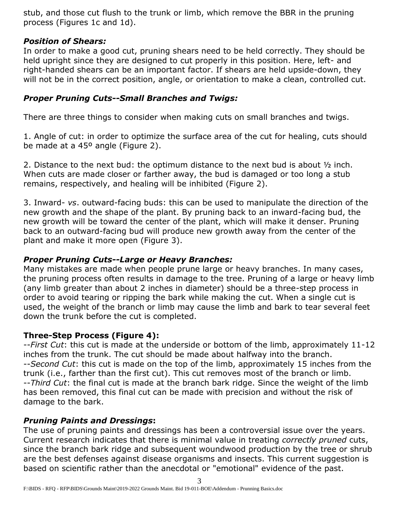stub, and those cut flush to the trunk or limb, which remove the BBR in the pruning process (Figures 1c and 1d).

## *Position of Shears:*

In order to make a good cut, pruning shears need to be held correctly. They should be held upright since they are designed to cut properly in this position. Here, left- and right-handed shears can be an important factor. If shears are held upside-down, they will not be in the correct position, angle, or orientation to make a clean, controlled cut.

## *Proper Pruning Cuts--Small Branches and Twigs:*

There are three things to consider when making cuts on small branches and twigs.

1. Angle of cut: in order to optimize the surface area of the cut for healing, cuts should be made at a 45º angle (Figure 2).

2. Distance to the next bud: the optimum distance to the next bud is about ½ inch. When cuts are made closer or farther away, the bud is damaged or too long a stub remains, respectively, and healing will be inhibited (Figure 2).

3. Inward- *vs*. outward-facing buds: this can be used to manipulate the direction of the new growth and the shape of the plant. By pruning back to an inward-facing bud, the new growth will be toward the center of the plant, which will make it denser. Pruning back to an outward-facing bud will produce new growth away from the center of the plant and make it more open (Figure 3).

## *Proper Pruning Cuts--Large or Heavy Branches:*

Many mistakes are made when people prune large or heavy branches. In many cases, the pruning process often results in damage to the tree. Pruning of a large or heavy limb (any limb greater than about 2 inches in diameter) should be a three-step process in order to avoid tearing or ripping the bark while making the cut. When a single cut is used, the weight of the branch or limb may cause the limb and bark to tear several feet down the trunk before the cut is completed.

## **Three-Step Process (Figure 4):**

--*First Cut*: this cut is made at the underside or bottom of the limb, approximately 11-12 inches from the trunk. The cut should be made about halfway into the branch. --*Second Cut*: this cut is made on the top of the limb, approximately 15 inches from the trunk (i.e., farther than the first cut). This cut removes most of the branch or limb. --*Third Cut*: the final cut is made at the branch bark ridge. Since the weight of the limb has been removed, this final cut can be made with precision and without the risk of damage to the bark.

## *Pruning Paints and Dressings***:**

The use of pruning paints and dressings has been a controversial issue over the years. Current research indicates that there is minimal value in treating *correctly pruned* cuts, since the branch bark ridge and subsequent woundwood production by the tree or shrub are the best defenses against disease organisms and insects. This current suggestion is based on scientific rather than the anecdotal or "emotional" evidence of the past.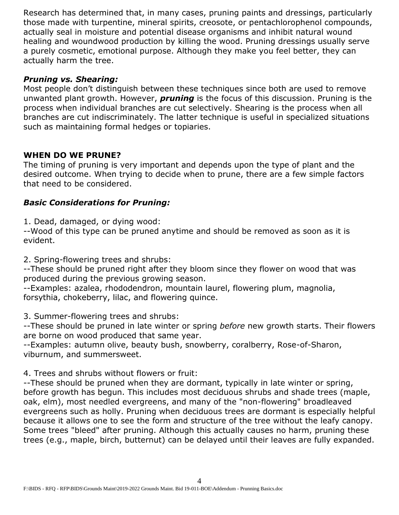Research has determined that, in many cases, pruning paints and dressings, particularly those made with turpentine, mineral spirits, creosote, or pentachlorophenol compounds, actually seal in moisture and potential disease organisms and inhibit natural wound healing and woundwood production by killing the wood. Pruning dressings usually serve a purely cosmetic, emotional purpose. Although they make you feel better, they can actually harm the tree.

### *Pruning vs. Shearing:*

Most people don't distinguish between these techniques since both are used to remove unwanted plant growth. However, *pruning* is the focus of this discussion. Pruning is the process when individual branches are cut selectively. Shearing is the process when all branches are cut indiscriminately. The latter technique is useful in specialized situations such as maintaining formal hedges or topiaries.

## **WHEN DO WE PRUNE?**

The timing of pruning is very important and depends upon the type of plant and the desired outcome. When trying to decide when to prune, there are a few simple factors that need to be considered.

## *Basic Considerations for Pruning:*

1. Dead, damaged, or dying wood:

--Wood of this type can be pruned anytime and should be removed as soon as it is evident.

2. Spring-flowering trees and shrubs:

--These should be pruned right after they bloom since they flower on wood that was produced during the previous growing season.

--Examples: azalea, rhododendron, mountain laurel, flowering plum, magnolia, forsythia, chokeberry, lilac, and flowering quince.

3. Summer-flowering trees and shrubs:

--These should be pruned in late winter or spring *before* new growth starts. Their flowers are borne on wood produced that same year.

--Examples: autumn olive, beauty bush, snowberry, coralberry, Rose-of-Sharon, viburnum, and summersweet.

4. Trees and shrubs without flowers or fruit:

--These should be pruned when they are dormant, typically in late winter or spring, before growth has begun. This includes most deciduous shrubs and shade trees (maple, oak, elm), most needled evergreens, and many of the "non-flowering" broadleaved evergreens such as holly. Pruning when deciduous trees are dormant is especially helpful because it allows one to see the form and structure of the tree without the leafy canopy. Some trees "bleed" after pruning. Although this actually causes no harm, pruning these trees (e.g., maple, birch, butternut) can be delayed until their leaves are fully expanded.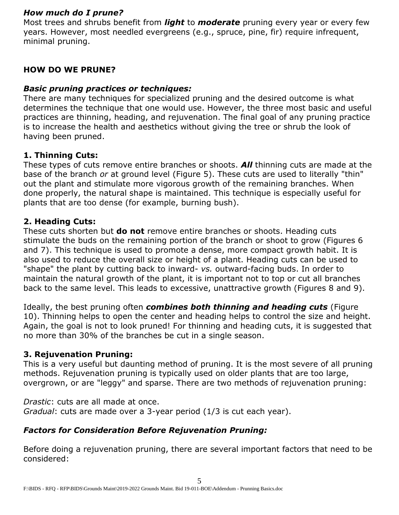#### *How much do I prune?*

Most trees and shrubs benefit from *light* to *moderate* pruning every year or every few years. However, most needled evergreens (e.g., spruce, pine, fir) require infrequent, minimal pruning.

## **HOW DO WE PRUNE?**

### *Basic pruning practices or techniques:*

There are many techniques for specialized pruning and the desired outcome is what determines the technique that one would use. However, the three most basic and useful practices are thinning, heading, and rejuvenation. The final goal of any pruning practice is to increase the health and aesthetics without giving the tree or shrub the look of having been pruned.

## **1. Thinning Cuts:**

These types of cuts remove entire branches or shoots. *All* thinning cuts are made at the base of the branch *or* at ground level (Figure 5). These cuts are used to literally "thin" out the plant and stimulate more vigorous growth of the remaining branches. When done properly, the natural shape is maintained. This technique is especially useful for plants that are too dense (for example, burning bush).

## **2. Heading Cuts:**

These cuts shorten but **do not** remove entire branches or shoots. Heading cuts stimulate the buds on the remaining portion of the branch or shoot to grow (Figures 6 and 7). This technique is used to promote a dense, more compact growth habit. It is also used to reduce the overall size or height of a plant. Heading cuts can be used to "shape" the plant by cutting back to inward- *vs.* outward-facing buds. In order to maintain the natural growth of the plant, it is important not to top or cut all branches back to the same level. This leads to excessive, unattractive growth (Figures 8 and 9).

Ideally, the best pruning often *combines both thinning and heading cuts* (Figure 10). Thinning helps to open the center and heading helps to control the size and height. Again, the goal is not to look pruned! For thinning and heading cuts, it is suggested that no more than 30% of the branches be cut in a single season.

#### **3. Rejuvenation Pruning:**

This is a very useful but daunting method of pruning. It is the most severe of all pruning methods. Rejuvenation pruning is typically used on older plants that are too large, overgrown, or are "leggy" and sparse. There are two methods of rejuvenation pruning:

*Drastic*: cuts are all made at once. *Gradual*: cuts are made over a 3-year period (1/3 is cut each year).

# *Factors for Consideration Before Rejuvenation Pruning:*

Before doing a rejuvenation pruning, there are several important factors that need to be considered: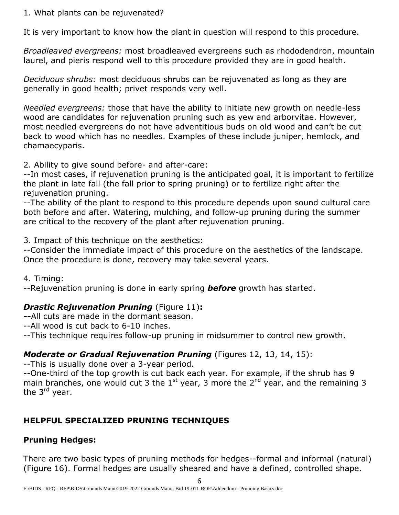#### 1. What plants can be rejuvenated?

It is very important to know how the plant in question will respond to this procedure.

*Broadleaved evergreens:* most broadleaved evergreens such as rhododendron, mountain laurel, and pieris respond well to this procedure provided they are in good health.

*Deciduous shrubs:* most deciduous shrubs can be rejuvenated as long as they are generally in good health; privet responds very well.

*Needled evergreens:* those that have the ability to initiate new growth on needle-less wood are candidates for rejuvenation pruning such as yew and arborvitae. However, most needled evergreens do not have adventitious buds on old wood and can't be cut back to wood which has no needles. Examples of these include juniper, hemlock, and chamaecyparis.

2. Ability to give sound before- and after-care:

--In most cases, if rejuvenation pruning is the anticipated goal, it is important to fertilize the plant in late fall (the fall prior to spring pruning) or to fertilize right after the rejuvenation pruning.

--The ability of the plant to respond to this procedure depends upon sound cultural care both before and after. Watering, mulching, and follow-up pruning during the summer are critical to the recovery of the plant after rejuvenation pruning.

3. Impact of this technique on the aesthetics:

--Consider the immediate impact of this procedure on the aesthetics of the landscape. Once the procedure is done, recovery may take several years.

4. Timing:

--Rejuvenation pruning is done in early spring *before* growth has started.

# *Drastic Rejuvenation Pruning* (Figure 11)**:**

**--**All cuts are made in the dormant season.

--All wood is cut back to 6-10 inches.

--This technique requires follow-up pruning in midsummer to control new growth.

# *Moderate or Gradual Rejuvenation Pruning* (Figures 12, 13, 14, 15):

--This is usually done over a 3-year period.

--One-third of the top growth is cut back each year. For example, if the shrub has 9 main branches, one would cut 3 the  $1^{st}$  year, 3 more the  $2^{nd}$  year, and the remaining 3 the 3<sup>rd</sup> year.

# **HELPFUL SPECIALIZED PRUNING TECHNIQUES**

# **Pruning Hedges:**

There are two basic types of pruning methods for hedges--formal and informal (natural) (Figure 16). Formal hedges are usually sheared and have a defined, controlled shape.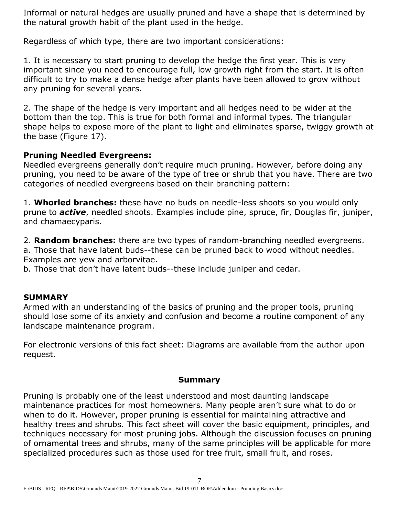Informal or natural hedges are usually pruned and have a shape that is determined by the natural growth habit of the plant used in the hedge.

Regardless of which type, there are two important considerations:

1. It is necessary to start pruning to develop the hedge the first year. This is very important since you need to encourage full, low growth right from the start. It is often difficult to try to make a dense hedge after plants have been allowed to grow without any pruning for several years.

2. The shape of the hedge is very important and all hedges need to be wider at the bottom than the top. This is true for both formal and informal types. The triangular shape helps to expose more of the plant to light and eliminates sparse, twiggy growth at the base (Figure 17).

## **Pruning Needled Evergreens:**

Needled evergreens generally don't require much pruning. However, before doing any pruning, you need to be aware of the type of tree or shrub that you have. There are two categories of needled evergreens based on their branching pattern:

1. **Whorled branches:** these have no buds on needle-less shoots so you would only prune to *active*, needled shoots. Examples include pine, spruce, fir, Douglas fir, juniper, and chamaecyparis.

2. **Random branches:** there are two types of random-branching needled evergreens.

a. Those that have latent buds--these can be pruned back to wood without needles. Examples are yew and arborvitae.

b. Those that don't have latent buds--these include juniper and cedar.

# **SUMMARY**

Armed with an understanding of the basics of pruning and the proper tools, pruning should lose some of its anxiety and confusion and become a routine component of any landscape maintenance program.

For electronic versions of this fact sheet: Diagrams are available from the author upon request.

#### **Summary**

Pruning is probably one of the least understood and most daunting landscape maintenance practices for most homeowners. Many people aren't sure what to do or when to do it. However, proper pruning is essential for maintaining attractive and healthy trees and shrubs. This fact sheet will cover the basic equipment, principles, and techniques necessary for most pruning jobs. Although the discussion focuses on pruning of ornamental trees and shrubs, many of the same principles will be applicable for more specialized procedures such as those used for tree fruit, small fruit, and roses.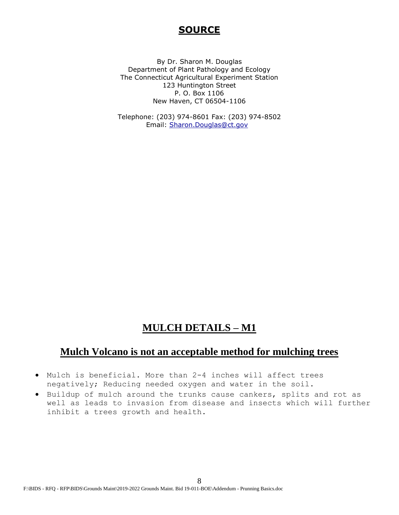## **SOURCE**

By Dr. Sharon M. Douglas Department of Plant Pathology and Ecology The Connecticut Agricultural Experiment Station 123 Huntington Street P. O. Box 1106 New Haven, CT 06504-1106

Telephone: (203) 974-8601 Fax: (203) 974-8502 Email: [Sharon.Douglas@ct.gov](mailto:Sharon.Douglas@ct.gov) 

## **MULCH DETAILS – M1**

# **Mulch Volcano is not an acceptable method for mulching trees**

- Mulch is beneficial. More than 2-4 inches will affect trees negatively; Reducing needed oxygen and water in the soil.
- Buildup of mulch around the trunks cause cankers, splits and rot as well as leads to invasion from disease and insects which will further inhibit a trees growth and health.